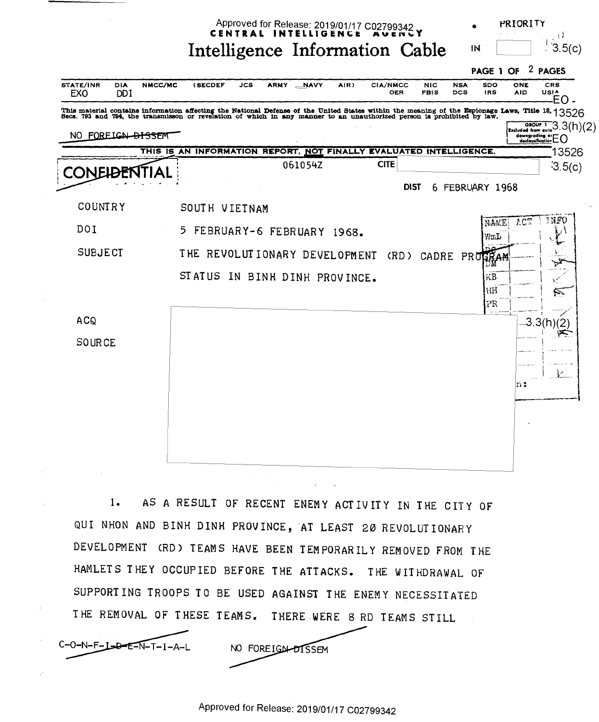Approved for Release: 2019/01/17 C02799342 CENTRAL INTELLIGENCE

Intelligence Information Cable

ા કે  $13.5(c)$ IN

PRIORITY



AS A RESULT OF RECENT ENEMY ACTIVITY IN THE CITY OF  $1.$ QUI NHON AND BINH DINH PROVINCE, AT LEAST 20 REVOLUTIONARY DEVELOPMENT (RD) TEAMS HAVE BEEN TEMPORARILY REMOVED FROM THE HAMLETS THEY OCCUPIED BEFORE THE ATTACKS. THE WITHDRAWAL OF SUPPORTING TROOPS TO BE USED AGAINST THE ENEMY NECESSITATED THE REMOVAL OF THESE TEAMS. THERE WERE 8 RD TEAMS STILL

C-O-N-F-L-D-E-N-T-I-A-L

NO FOREIGN-DISSEM

Approved for Release: 2019/01/17 C02799342